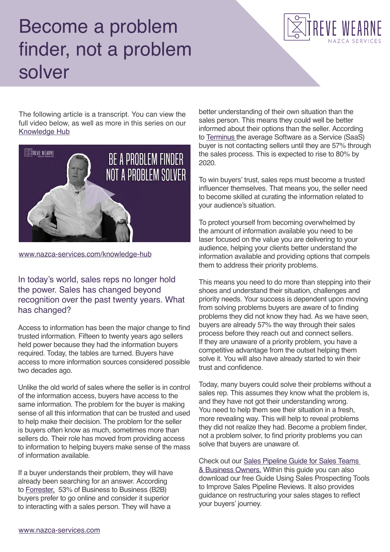## Become a problem finder, not a problem solver



The following article is a transcript. You can view the full video below, as well as more in this series on our [Knowledge Hub](https://www.nazca-services.com/knowledge-hub/become-a-problem-finder-not-a-problem-solver/)



[www.nazca-services.com/knowledge-hub](https://www.nazca-services.com/knowledge-hub/)

In today's world, sales reps no longer hold the power. Sales has changed beyond recognition over the past twenty years. What has changed?

Access to information has been the major change to find trusted information. Fifteen to twenty years ago sellers held power because they had the information buyers required. Today, the tables are turned. Buyers have access to more information sources considered possible two decades ago.

Unlike the old world of sales where the seller is in control of the information access, buyers have access to the same information. The problem for the buyer is making sense of all this information that can be trusted and used to help make their decision. The problem for the seller is buyers often know as much, sometimes more than sellers do. Their role has moved from providing access to information to helping buyers make sense of the mass of information available.

If a buyer understands their problem, they will have already been searching for an answer. According to [Forrester,](https://www.slideshare.net/G3Com/b2b-buyers-mandate-a-new-charter-for-marketing-and-sales) 53% of Business to Business (B2B) buyers prefer to go online and consider it superior to interacting with a sales person. They will have a

better understanding of their own situation than the sales person. This means they could well be better informed about their options than the seller. According to [Terminus t](https://terminus.com/blog/sales-marketing-alignment-statistic/)he average Software as a Service (SaaS) buyer is not contacting sellers until they are 57% through the sales process. This is expected to rise to 80% by 2020.

To win buyers' trust, sales reps must become a trusted influencer themselves. That means you, the seller need to become skilled at curating the information related to your audience's situation.

To protect yourself from becoming overwhelmed by the amount of information available you need to be laser focused on the value you are delivering to your audience, helping your clients better understand the information available and providing options that compels them to address their priority problems.

This means you need to do more than stepping into their shoes and understand their situation, challenges and priority needs. Your success is dependent upon moving from solving problems buyers are aware of to finding problems they did not know they had. As we have seen, buyers are already 57% the way through their sales process before they reach out and connect sellers. If they are unaware of a priority problem, you have a competitive advantage from the outset helping them solve it. You will also have already started to win their trust and confidence.

Today, many buyers could solve their problems without a sales rep. This assumes they know what the problem is, and they have not got their understanding wrong. You need to help them see their situation in a fresh, more revealing way. This will help to reveal problems they did not realize they had. Become a problem finder, not a problem solver, to find priority problems you can solve that buyers are unaware of.

Check out our [Sales Pipeline Guide for Sales Teams](https://www.landpage.co/50389950-5c5a-11e9-b832-8655610175e1)  [& Business Owners.](https://www.landpage.co/50389950-5c5a-11e9-b832-8655610175e1) Within this guide you can also download our free Guide Using Sales Prospecting Tools to Improve Sales Pipeline Reviews. It also provides guidance on restructuring your sales stages to reflect your buyers' journey.